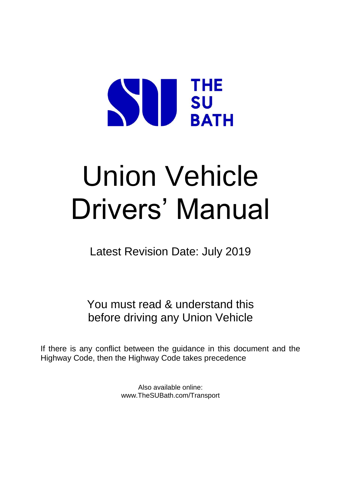# **THE SURATE BATH**

# Union Vehicle Drivers' Manual

Latest Revision Date: July 2019

You must read & understand this before driving any Union Vehicle

If there is any conflict between the guidance in this document and the Highway Code, then the Highway Code takes precedence

> Also available online: www.TheSUBath.com/Transport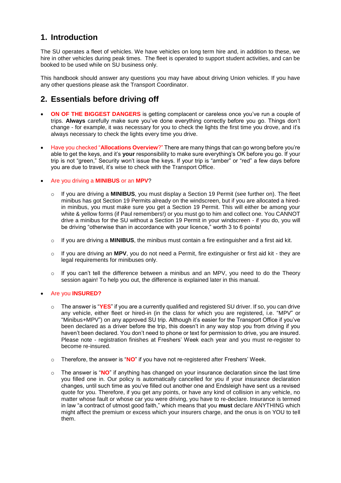#### **1. Introduction**

The SU operates a fleet of vehicles. We have vehicles on long term hire and, in addition to these, we hire in other vehicles during peak times. The fleet is operated to support student activities, and can be booked to be used while on SU business only.

This handbook should answer any questions you may have about driving Union vehicles. If you have any other questions please ask the Transport Coordinator.

#### **2. Essentials before driving off**

- **ON OF THE BIGGEST DANGERS** is getting complacent or careless once you've run a couple of trips. **Always** carefully make sure you've done everything correctly before you go. Things don't change - for example, it was necessary for you to check the lights the first time you drove, and it's always necessary to check the lights every time you drive.
- Have you checked "**Allocations Overview**?" There are many things that can go wrong before you're able to get the keys, and it's **your** responsibility to make sure everything's OK before you go. If your trip is not "green," Security won't issue the keys. If your trip is "amber" or "red" a few days before you are due to travel, it's wise to check with the Transport Office.

#### Are you driving a **MINIBUS** or an **MPV**?

- o If you are driving a **MINIBUS**, you must display a Section 19 Permit (see further on). The fleet minibus has got Section 19 Permits already on the windscreen, but if you are allocated a hiredin minibus, you must make sure you get a Section 19 Permit. This will either be among your white & yellow forms (if Paul remembers!) or you must go to him and collect one. You CANNOT drive a minibus for the SU without a Section 19 Permit in your windscreen - if you do, you will be driving "otherwise than in accordance with your licence," worth 3 to 6 points!
- o If you are driving a **MINIBUS**, the minibus must contain a fire extinguisher and a first aid kit.
- o If you are driving an **MPV**, you do not need a Permit, fire extinguisher or first aid kit they are legal requirements for minibuses only.
- $\circ$  If you can't tell the difference between a minibus and an MPV, you need to do the Theory session again! To help you out, the difference is explained later in this manual.

#### Are you **INSURED?**

- o The answer is "**YES**" if you are a currently qualified and registered SU driver. If so, you can drive any vehicle, either fleet or hired-in (in the class for which you are registered, i.e. "MPV" or "Minibus+MPV") on any approved SU trip. Although it's easier for the Transport Office if you've been declared as a driver before the trip, this doesn't in any way stop you from driving if you haven't been declared. You don't need to phone or text for permission to drive, you are insured. Please note - registration finishes at Freshers' Week each year and you must re-register to become re-insured.
- o Therefore, the answer is "**NO**" if you have not re-registered after Freshers' Week.
- o The answer is "**NO**" if anything has changed on your insurance declaration since the last time you filled one in. Our policy is automatically cancelled for you if your insurance declaration changes, until such time as you've filled out another one and Endsleigh have sent us a revised quote for you. Therefore, if you get any points, or have any kind of collision in any vehicle, no matter whose fault or whose car you were driving, you have to re-declare. Insurance is termed in law "a contract of utmost good faith," which means that you **must** declare ANYTHING which might affect the premium or excess which your insurers charge, and the onus is on YOU to tell them.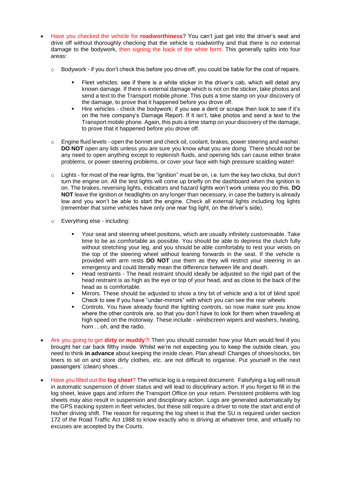- Have you checked the vehicle for **roadworthiness**? You can't just get into the driver's seat and drive off without thoroughly checking that the vehicle is roadworthy and that there is no external damage to the bodywork, then signing the back of the white form. This generally splits into four areas:
	- $\circ$  Bodywork if you don't check this before you drive off, you could be liable for the cost of repairs.
		- Fleet vehicles: see if there is a white sticker in the driver's cab, which will detail any known damage. If there is external damage which is not on the sticker, take photos and send a text to the Transport mobile phone. This puts a time stamp on your discovery of the damage, to prove that it happened before you drove off.
		- Hire vehicles check the bodywork; if you see a dent or scrape then look to see if it's on the hire company's Damage Report. If it isn't, take photos and send a text to the Transport mobile phone. Again, this puts a time stamp on your discovery of the damage, to prove that it happened before you drove off.
	- o Engine fluid levels open the bonnet and check oil, coolant, brakes, power steering and washer. **DO NOT** open any lids unless you are sure you know what you are doing. There should not be any need to open anything except to replenish fluids, and opening lids can cause either brake problems, or power steering problems, or cover your face with high pressure scalding water!
	- $\circ$  Lights for most of the rear lights, the "ignition" must be on, i.e. turn the key two clicks, but don't turn the engine on. All the test lights will come up briefly on the dashboard when the ignition is on. The brakes, reversing lights, indicators and hazard lights won't work unless you do this. **DO NOT** leave the ignition or headlights on any longer than necessary, in case the battery is already low and you won't be able to start the engine. Check all external lights including fog lights (remember that some vehicles have only one rear fog light, on the driver's side).
	- o Everything else including:
		- Your seat and steering wheel positions, which are usually infinitely customisable. Take time to be as comfortable as possible. You should be able to depress the clutch fully without stretching your leg, and you should be able comfortably to rest your wrists on the top of the steering wheel without leaning forwards in the seat. If the vehicle is provided with arm rests **DO NOT** use them as they will restrict your steering in an emergency and could literally mean the difference between life and death.
		- Head restraints The head restraint should ideally be adjusted so the rigid part of the head restraint is as high as the eye or top of your head, and as close to the back of the head as is comfortable.
		- Mirrors. These should be adjusted to show a tiny bit of vehicle and a lot of blind spot! Check to see if you have "under-mirrors" with which you can see the rear wheels
		- Controls. You have already found the lighting controls, so now make sure you know where the other controls are, so that you don't have to look for them when travelling at high speed on the motorway. These include - windscreen wipers and washers, heating, horn …oh, and the radio.
- Are you going to get **dirty or muddy**?! Then you should consider how your Mum would feel if you brought her car back filthy inside. Whilst we're not expecting you to keep the outside clean, you need to think **in advance** about keeping the inside clean. Plan ahead! Changes of shoes/socks, bin liners to sit on and store dirty clothes, etc. are not difficult to organise. Put yourself in the next passengers' (clean) shoes…
- Have you filled out the **log sheet**? The vehicle log is a required document. Falsifying a log will result in automatic suspension of driver status and will lead to disciplinary action. If you forget to fill in the log sheet, leave gaps and inform the Transport Office on your return. Persistent problems with log sheets may also result in suspension and disciplinary action. Logs are generated automatically by the GPS tracking system in fleet vehicles, but these still require a driver to note the start and end of his/her driving shift. The reason for requiring the log sheet is that the SU is required under section 172 of the Road Traffic Act 1988 to know exactly who is driving at whatever time, and virtually no excuses are accepted by the Courts.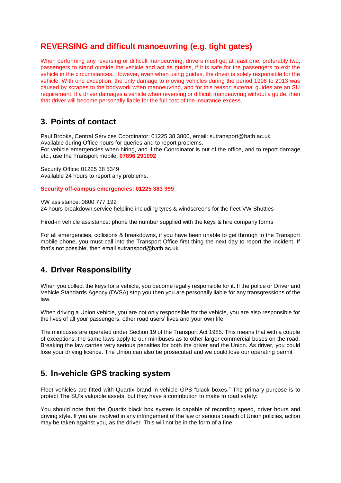#### **REVERSING and difficult manoeuvring (e.g. tight gates)**

When performing any reversing or difficult manoeuvring, drivers must get at least one, preferably two, passengers to stand outside the vehicle and act as guides, if it is safe for the passengers to exit the vehicle in the circumstances. However, even when using guides, the driver is solely responsible for the vehicle. With one exception, the only damage to moving vehicles during the period 1996 to 2013 was caused by scrapes to the bodywork when manoeuvring, and for this reason external guides are an SU requirement. If a driver damages a vehicle when reversing or difficult manoeuvring without a guide, then that driver will become personally liable for the full cost of the insurance excess.

#### **3. Points of contact**

Paul Brooks, Central Services Coordinator: 01225 38 3800, email: sutransport@bath.ac.uk Available during Office hours for queries and to report problems. For vehicle emergencies when hiring, and if the Coordinator is out of the office, and to report damage etc., use the Transport mobile: **07896 291092**

Security Office: 01225 38 5349 Available 24 hours to report any problems.

#### **Security off-campus emergencies: 01225 383 999**

VW assistance: 0800 777 192 24 hours breakdown service helpline including tyres & windscreens for the fleet VW Shuttles

Hired-in vehicle assistance: phone the number supplied with the keys & hire company forms

For all emergencies, collisions & breakdowns, if you have been unable to get through to the Transport mobile phone, you must call into the Transport Office first thing the next day to report the incident. If that's not possible, then email sutransport@bath.ac.uk

#### **4. Driver Responsibility**

When you collect the keys for a vehicle, you become legally responsible for it. If the police or Driver and Vehicle Standards Agency (DVSA) stop you then you are personally liable for any transgressions of the law.

When driving a Union vehicle, you are not only responsible for the vehicle, you are also responsible for the lives of all your passengers, other road users' lives and your own life.

The minibuses are operated under Section 19 of the Transport Act 1985. This means that with a couple of exceptions, the same laws apply to our minibuses as to other larger commercial buses on the road. Breaking the law carries very serious penalties for both the driver and the Union. As driver, you could lose your driving licence. The Union can also be prosecuted and we could lose our operating permit

#### **5. In-vehicle GPS tracking system**

Fleet vehicles are fitted with Quartix brand in-vehicle GPS "black boxes." The primary purpose is to protect The SU's valuable assets, but they have a contribution to make to road safety:

You should note that the Quartix black box system is capable of recording speed, driver hours and driving style. If you are involved in any infringement of the law or serious breach of Union policies, action may be taken against you, as the driver. This will not be in the form of a fine.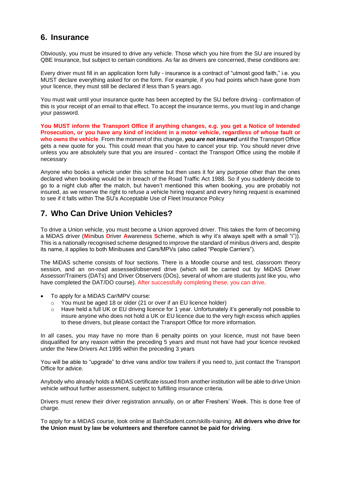#### **6. Insurance**

Obviously, you must be insured to drive any vehicle. Those which you hire from the SU are insured by QBE Insurance, but subject to certain conditions. As far as drivers are concerned, these conditions are:

Every driver must fill in an application form fully - insurance is a contract of "utmost good faith," i.e. you MUST declare everything asked for on the form. For example, if you had points which have gone from your licence, they must still be declared if less than 5 years ago.

You must wait until your insurance quote has been accepted by the SU before driving - confirmation of this is your receipt of an email to that effect. To accept the insurance terms, you must log in and change your password.

**You MUST inform the Transport Office if anything changes, e.g. you get a Notice of Intended Prosecution, or you have any kind of incident in a motor vehicle, regardless of whose fault or who owns the vehicle**. From the moment of this change, *you are not insured* until the Transport Office gets a new quote for you. This could mean that you have to cancel your trip. You should never drive unless you are absolutely sure that you are insured - contact the Transport Office using the mobile if necessary

Anyone who books a vehicle under this scheme but then uses it for any purpose other than the ones declared when booking would be in breach of the Road Traffic Act 1988. So if you suddenly decide to go to a night club after the match, but haven't mentioned this when booking, you are probably not insured, as we reserve the right to refuse a vehicle hiring request and every hiring request is examined to see if it falls within The SU's Acceptable Use of Fleet Insurance Policy

#### **7. Who Can Drive Union Vehicles?**

To drive a Union vehicle, you must become a Union approved driver. This takes the form of becoming a MiDAS driver (**Mi**nibus **D**river **A**wareness **S**cheme, which is why it's always spelt with a small "i")). This is a nationally recognised scheme designed to improve the standard of minibus drivers and, despite its name, it applies to both Minibuses and Cars/MPVs (also called "People Carriers").

The MiDAS scheme consists of four sections. There is a Moodle course and test, classroom theory session, and an on-road assessed/observed drive (which will be carried out by MiDAS Driver Assessor/Trainers (DATs) and Driver Observers (DOs), several of whom are students just like you, who have completed the DAT/DO course). After successfully completing these, you can drive.

- To apply for a MiDAS Car/MPV course:
	- o You must be aged 18 or older (21 or over if an EU licence holder)
	- $\circ$  Have held a full UK or EU driving licence for 1 year. Unfortunately it's generally not possible to insure anyone who does not hold a UK or EU licence due to the very high excess which applies to these drivers, but please contact the Transport Office for more information.

In all cases, you may have no more than 6 penalty points on your licence, must not have been disqualified for any reason within the preceding 5 years and must not have had your licence revoked under the New Drivers Act 1995 within the preceding 3 years

You will be able to "upgrade" to drive vans and/or tow trailers if you need to, just contact the Transport Office for advice.

Anybody who already holds a MiDAS certificate issued from another institution will be able to drive Union vehicle without further assessment, subject to fulfilling insurance criteria.

Drivers must renew their driver registration annually, on or after Freshers' Week. This is done free of charge.

To apply for a MiDAS course, look online at BathStudent.com/skills-training. **All drivers who drive for the Union must by law be volunteers and therefore cannot be paid for driving**.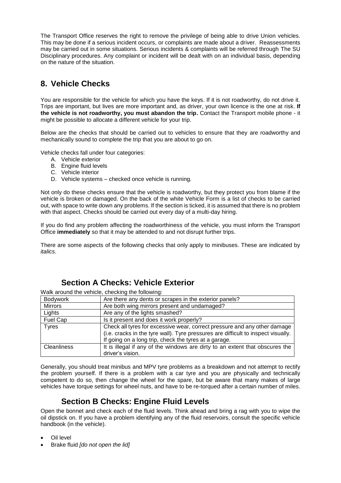The Transport Office reserves the right to remove the privilege of being able to drive Union vehicles. This may be done if a serious incident occurs, or complaints are made about a driver. Reassessments may be carried out in some situations. Serious incidents & complaints will be referred through The SU Disciplinary procedures. Any complaint or incident will be dealt with on an individual basis, depending on the nature of the situation.

## **8. Vehicle Checks**

You are responsible for the vehicle for which you have the keys. If it is not roadworthy, do not drive it. Trips are important, but lives are more important and, as driver, your own licence is the one at risk. **If the vehicle is not roadworthy, you must abandon the trip.** Contact the Transport mobile phone - it might be possible to allocate a different vehicle for your trip.

Below are the checks that should be carried out to vehicles to ensure that they are roadworthy and mechanically sound to complete the trip that you are about to go on.

Vehicle checks fall under four categories:

- A. Vehicle exterior
- B. Engine fluid levels
- C. Vehicle interior
- D. Vehicle systems checked once vehicle is running.

Not only do these checks ensure that the vehicle is roadworthy, but they protect you from blame if the vehicle is broken or damaged. On the back of the white Vehicle Form is a list of checks to be carried out, with space to write down any problems. If the section is ticked, it is assumed that there is no problem with that aspect. Checks should be carried out every day of a multi-day hiring.

If you do find any problem affecting the roadworthiness of the vehicle, you must inform the Transport Office **immediately** so that it may be attended to and not disrupt further trips.

There are some aspects of the following checks that only apply to minibuses. These are indicated by *italics*.

#### **Section A Checks: Vehicle Exterior**

Walk around the vehicle, checking the following:

| Bodywork                                                                                           | Are there any dents or scrapes in the exterior panels?                            |  |  |  |  |  |  |
|----------------------------------------------------------------------------------------------------|-----------------------------------------------------------------------------------|--|--|--|--|--|--|
| Mirrors                                                                                            | Are both wing mirrors present and undamaged?                                      |  |  |  |  |  |  |
| Lights                                                                                             | Are any of the lights smashed?                                                    |  |  |  |  |  |  |
| Fuel Cap<br>Is it present and does it work properly?                                               |                                                                                   |  |  |  |  |  |  |
| <b>Tyres</b><br>Check all tyres for excessive wear, correct pressure and any other damage          |                                                                                   |  |  |  |  |  |  |
|                                                                                                    | (i.e. cracks in the tyre wall). Tyre pressures are difficult to inspect visually. |  |  |  |  |  |  |
|                                                                                                    | If going on a long trip, check the tyres at a garage.                             |  |  |  |  |  |  |
| It is illegal if any of the windows are dirty to an extent that obscures the<br><b>Cleanliness</b> |                                                                                   |  |  |  |  |  |  |
|                                                                                                    | driver's vision.                                                                  |  |  |  |  |  |  |

Generally, you should treat minibus and MPV tyre problems as a breakdown and not attempt to rectify the problem yourself. If there is a problem with a car tyre and you are physically and technically competent to do so, then change the wheel for the spare, but be aware that many makes of large vehicles have torque settings for wheel nuts, and have to be re-torqued after a certain number of miles.

#### **Section B Checks: Engine Fluid Levels**

Open the bonnet and check each of the fluid levels. Think ahead and bring a rag with you to wipe the oil dipstick on. If you have a problem identifying any of the fluid reservoirs, consult the specific vehicle handbook (in the vehicle).

- Oil level
- Brake fluid *[do not open the lid]*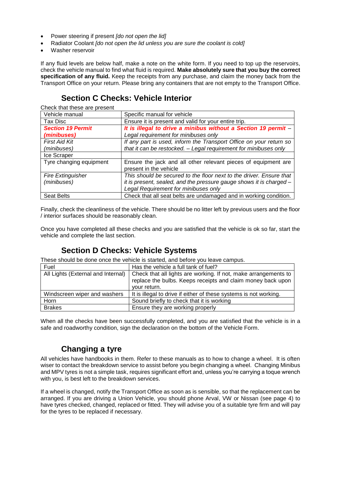- Power steering if present *[do not open the lid]*
- Radiator Coolant *[do not open the lid unless you are sure the coolant is cold]*
- Washer reservoir

If any fluid levels are below half, make a note on the white form. If you need to top up the reservoirs, check the vehicle manual to find what fluid is required. **Make absolutely sure that you buy the correct specification of any fluid.** Keep the receipts from any purchase, and claim the money back from the Transport Office on your return. Please bring any containers that are not empty to the Transport Office.

#### **Section C Checks: Vehicle Interior**

Check that these are present

| Vehicle manual                          | Specific manual for vehicle                                                                                                                                                        |  |  |  |  |
|-----------------------------------------|------------------------------------------------------------------------------------------------------------------------------------------------------------------------------------|--|--|--|--|
| Tax Disc                                | Ensure it is present and valid for your entire trip.                                                                                                                               |  |  |  |  |
| <b>Section 19 Permit</b><br>(minibuses) | It is illegal to drive a minibus without a Section 19 permit -<br>Legal requirement for minibuses only                                                                             |  |  |  |  |
| <b>First Aid Kit</b><br>(minibuses)     | If any part is used, inform the Transport Office on your return so<br>that it can be restocked. - Legal requirement for minibuses only                                             |  |  |  |  |
| Ice Scraper                             |                                                                                                                                                                                    |  |  |  |  |
| Tyre changing equipment                 | Ensure the jack and all other relevant pieces of equipment are<br>present in the vehicle                                                                                           |  |  |  |  |
| <b>Fire Extinguisher</b><br>(minibuses) | This should be secured to the floor next to the driver. Ensure that<br>it is present, sealed, and the pressure gauge shows it is charged -<br>Legal Requirement for minibuses only |  |  |  |  |
| <b>Seat Belts</b>                       | Check that all seat belts are undamaged and in working condition.                                                                                                                  |  |  |  |  |

Finally, check the cleanliness of the vehicle. There should be no litter left by previous users and the floor / interior surfaces should be reasonably clean.

Once you have completed all these checks and you are satisfied that the vehicle is ok so far, start the vehicle and complete the last section.

#### **Section D Checks: Vehicle Systems**

These should be done once the vehicle is started, and before you leave campus.

| Fuel                               | Has the vehicle a full tank of fuel?                                                                                                           |
|------------------------------------|------------------------------------------------------------------------------------------------------------------------------------------------|
| All Lights (External and Internal) | Check that all lights are working. If not, make arrangements to<br>replace the bulbs. Keeps receipts and claim money back upon<br>your return. |
| Windscreen wiper and washers       | It is illegal to drive if either of these systems is not working.                                                                              |
| Horn                               | Sound briefly to check that it is working                                                                                                      |
| <b>Brakes</b>                      | Ensure they are working properly                                                                                                               |

When all the checks have been successfully completed, and you are satisfied that the vehicle is in a safe and roadworthy condition, sign the declaration on the bottom of the Vehicle Form.

#### **Changing a tyre**

All vehicles have handbooks in them. Refer to these manuals as to how to change a wheel. It is often wiser to contact the breakdown service to assist before you begin changing a wheel. Changing Minibus and MPV tyres is not a simple task, requires significant effort and, unless you're carrying a toque wrench with you, is best left to the breakdown services.

If a wheel is changed, notify the Transport Office as soon as is sensible, so that the replacement can be arranged. If you are driving a Union Vehicle, you should phone Arval, VW or Nissan (see page 4) to have tyres checked, changed, replaced or fitted. They will advise you of a suitable tyre firm and will pay for the tyres to be replaced if necessary.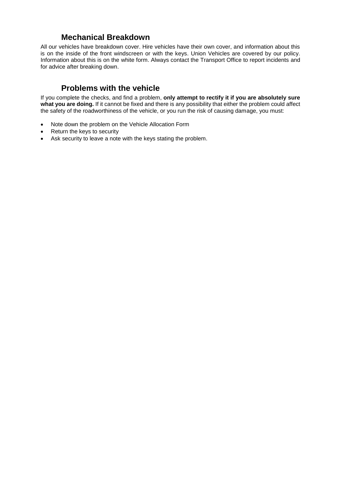#### **Mechanical Breakdown**

All our vehicles have breakdown cover. Hire vehicles have their own cover, and information about this is on the inside of the front windscreen or with the keys. Union Vehicles are covered by our policy. Information about this is on the white form. Always contact the Transport Office to report incidents and for advice after breaking down.

#### **Problems with the vehicle**

If you complete the checks, and find a problem, **only attempt to rectify it if you are absolutely sure what you are doing.** If it cannot be fixed and there is any possibility that either the problem could affect the safety of the roadworthiness of the vehicle, or you run the risk of causing damage, you must:

- Note down the problem on the Vehicle Allocation Form
- Return the keys to security
- Ask security to leave a note with the keys stating the problem.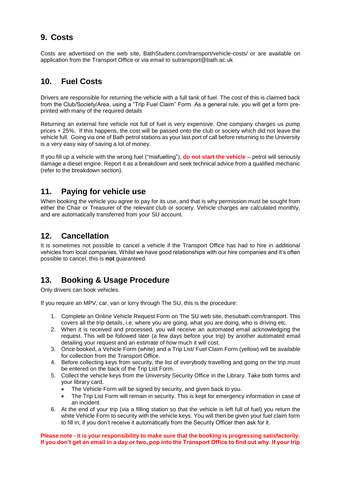#### **9. Costs**

Costs are advertised on the web site, BathStudent.com/transport/vehicle-costs/ or are available on application from the Transport Office or via email to sutransport@bath.ac.uk

#### **10. Fuel Costs**

Drivers are responsible for returning the vehicle with a full tank of fuel. The cost of this is claimed back from the Club/Society/Area, using a "Trip Fuel Claim" Form. As a general rule, you will get a form preprinted with many of the required details

Returning an external hire vehicle not full of fuel is very expensive. One company charges us pump prices + 25%. If this happens, the cost will be passed onto the club or society which did not leave the vehicle full. Going via one of Bath petrol stations as your last port of call before returning to the University is a very easy way of saving a lot of money.

If you fill up a vehicle with the wrong fuel ("misfuelling"), **do not start the vehicle** – petrol will seriously damage a diesel engine. Report it as a breakdown and seek technical advice from a qualified mechanic (refer to the breakdown section).

#### **11. Paying for vehicle use**

When booking the vehicle you agree to pay for its use, and that is why permission must be sought from either the Chair or Treasurer of the relevant club or society. Vehicle charges are calculated monthly, and are automatically transferred from your SU account.

#### **12. Cancellation**

It is sometimes not possible to cancel a vehicle if the Transport Office has had to hire in additional vehicles from local companies. Whilst we have good relationships with our hire companies and it's often possible to cancel, this is **not** guaranteed.

#### **13. Booking & Usage Procedure**

Only drivers can book vehicles.

If you require an MPV, car, van or lorry through The SU, this is the procedure:

- 1. Complete an Online Vehicle Request Form on The SU web site, thesubath.com/transport. This covers all the trip details, i.e. where you are going, what you are doing, who is driving etc.
- 2. When it is received and processed, you will receive an automated email acknowledging the request. This will be followed later (a few days before your trip) by another automated email detailing your request and an estimate of how much it will cost.
- 3. Once booked, a Vehicle Form (white) and a Trip List/ Fuel Claim Form (yellow) will be available for collection from the Transport Office.
- 4. Before collecting keys from security, the list of everybody travelling and going on the trip must be entered on the back of the Trip List Form.
- 5. Collect the vehicle keys from the University Security Office in the Library. Take both forms and your library card.
	- The Vehicle Form will be signed by security, and given back to you.
	- The Trip List Form will remain in security. This is kept for emergency information in case of an incident.
- 6. At the end of your trip (via a filling station so that the vehicle is left full of fuel) you return the white Vehicle Form to security with the vehicle keys. You will then be given your fuel claim form to fill in; if you don't receive it automatically from the Security Officer then ask for it.

**Please note - it is your responsibility to make sure that the booking is progressing satisfactorily. If you don't get an email in a day or two, pop into the Transport Office to find out why. If your trip**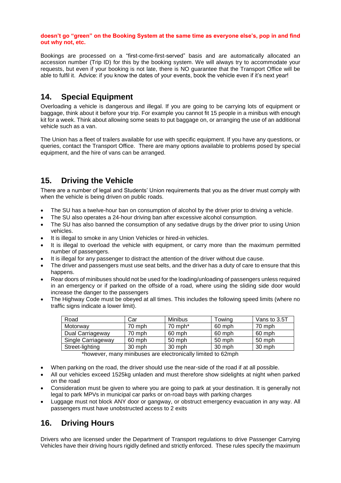#### **doesn't go "green" on the Booking System at the same time as everyone else's, pop in and find out why not, etc.**

Bookings are processed on a "first-come-first-served" basis and are automatically allocated an accession number (Trip ID) for this by the booking system. We will always try to accommodate your requests, but even if your booking is not late, there is NO guarantee that the Transport Office will be able to fulfil it. Advice: if you know the dates of your events, book the vehicle even if it's next year!

#### **14. Special Equipment**

Overloading a vehicle is dangerous and illegal. If you are going to be carrying lots of equipment or baggage, think about it before your trip. For example you cannot fit 15 people in a minibus with enough kit for a week. Think about allowing some seats to put baggage on, or arranging the use of an additional vehicle such as a van.

The Union has a fleet of trailers available for use with specific equipment. If you have any questions, or queries, contact the Transport Office. There are many options available to problems posed by special equipment, and the hire of vans can be arranged.

#### **15. Driving the Vehicle**

There are a number of legal and Students' Union requirements that you as the driver must comply with when the vehicle is being driven on public roads.

- The SU has a twelve-hour ban on consumption of alcohol by the driver prior to driving a vehicle.
- The SU also operates a 24-hour driving ban after excessive alcohol consumption.
- The SU has also banned the consumption of any sedative drugs by the driver prior to using Union vehicles.
- It is illegal to smoke in any Union Vehicles or hired-in vehicles.
- It is illegal to overload the vehicle with equipment, or carry more than the maximum permitted number of passengers.
- It is illegal for any passenger to distract the attention of the driver without due cause.
- The driver and passengers must use seat belts, and the driver has a duty of care to ensure that this happens.
- Rear doors of minibuses should not be used for the loading/unloading of passengers unless required in an emergency or if parked on the offside of a road, where using the sliding side door would increase the danger to the passengers
- The Highway Code must be obeyed at all times. This includes the following speed limits (where no traffic signs indicate a lower limit).

| Road               | Car      | Minibus               | Towing | Vans to 3.5T |
|--------------------|----------|-----------------------|--------|--------------|
| Motorway           | 70 mph   | $70$ mph <sup>*</sup> | 60 mph | 70 mph       |
| Dual Carriageway   | 70 mph   | 60 mph                | 60 mph | 60 mph       |
| Single Carriageway | 60 mph   | 50 mph                | 50 mph | 50 mph       |
| Street-lighting    | $30$ mph | 30 mph                | 30 mph | 30 mph       |

\*however, many minibuses are electronically limited to 62mph

- When parking on the road, the driver should use the near-side of the road if at all possible.
- All our vehicles exceed 1525kg unladen and must therefore show sidelights at night when parked on the road
- Consideration must be given to where you are going to park at your destination. It is generally not legal to park MPVs in municipal car parks or on-road bays with parking charges
- Luggage must not block ANY door or gangway, or obstruct emergency evacuation in any way. All passengers must have unobstructed access to 2 exits

#### **16. Driving Hours**

Drivers who are licensed under the Department of Transport regulations to drive Passenger Carrying Vehicles have their driving hours rigidly defined and strictly enforced. These rules specify the maximum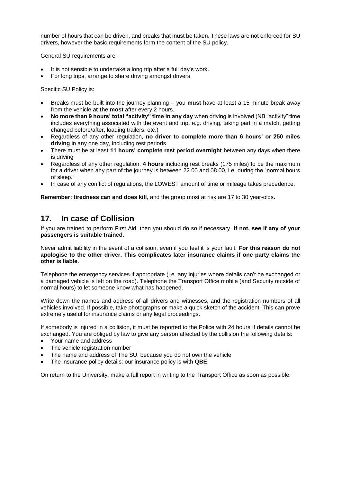number of hours that can be driven, and breaks that must be taken. These laws are not enforced for SU drivers, however the basic requirements form the content of the SU policy.

General SU requirements are:

- It is not sensible to undertake a long trip after a full day's work.
- For long trips, arrange to share driving amongst drivers.

Specific SU Policy is:

- Breaks must be built into the journey planning you **must** have at least a 15 minute break away from the vehicle **at the most** after every 2 hours.
- **No more than 9 hours' total "activity" time in any day** when driving is involved (NB "activity" time includes everything associated with the event and trip, e.g. driving, taking part in a match, getting changed before/after, loading trailers, etc.)
- Regardless of any other regulation, **no driver to complete more than 6 hours' or 250 miles driving** in any one day, including rest periods
- There must be at least **11 hours' complete rest period overnight** between any days when there is driving
- Regardless of any other regulation, **4 hours** including rest breaks (175 miles) to be the maximum for a driver when any part of the journey is between 22.00 and 08.00, i.e. during the "normal hours of sleep."
- In case of any conflict of regulations, the LOWEST amount of time or mileage takes precedence.

**Remember: tiredness can and does kill**, and the group most at risk are 17 to 30 year-olds**.**

#### **17. In case of Collision**

If you are trained to perform First Aid, then you should do so if necessary. **If not, see if any of your passengers is suitable trained.**

Never admit liability in the event of a collision, even if you feel it is your fault. **For this reason do not apologise to the other driver. This complicates later insurance claims if one party claims the other is liable.**

Telephone the emergency services if appropriate (i.e. any injuries where details can't be exchanged or a damaged vehicle is left on the road). Telephone the Transport Office mobile (and Security outside of normal hours) to let someone know what has happened.

Write down the names and address of all drivers and witnesses, and the registration numbers of all vehicles involved. If possible, take photographs or make a quick sketch of the accident. This can prove extremely useful for insurance claims or any legal proceedings.

If somebody is injured in a collision, it must be reported to the Police with 24 hours if details cannot be exchanged. You are obliged by law to give any person affected by the collision the following details:

- Your name and address
- The vehicle registration number
- The name and address of The SU, because you do not own the vehicle
- The insurance policy details: our insurance policy is with **QBE**.

On return to the University, make a full report in writing to the Transport Office as soon as possible.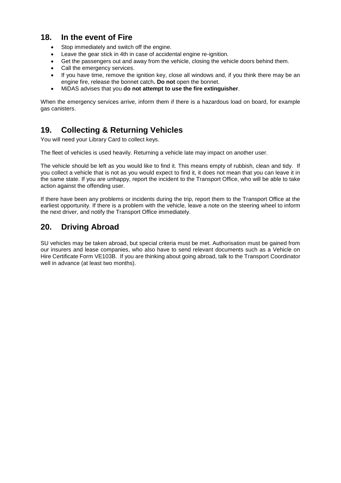#### **18. In the event of Fire**

- Stop immediately and switch off the engine.
- Leave the gear stick in 4th in case of accidental engine re-ignition.
- Get the passengers out and away from the vehicle, closing the vehicle doors behind them.
- Call the emergency services.
- If you have time, remove the ignition key, close all windows and, if you think there may be an engine fire, release the bonnet catch**. Do not** open the bonnet.
- MiDAS advises that you **do not attempt to use the fire extinguisher**.

When the emergency services arrive, inform them if there is a hazardous load on board, for example gas canisters.

#### **19. Collecting & Returning Vehicles**

You will need your Library Card to collect keys.

The fleet of vehicles is used heavily. Returning a vehicle late may impact on another user.

The vehicle should be left as you would like to find it. This means empty of rubbish, clean and tidy. If you collect a vehicle that is not as you would expect to find it, it does not mean that you can leave it in the same state. If you are unhappy, report the incident to the Transport Office, who will be able to take action against the offending user.

If there have been any problems or incidents during the trip, report them to the Transport Office at the earliest opportunity. If there is a problem with the vehicle, leave a note on the steering wheel to inform the next driver, and notify the Transport Office immediately.

#### **20. Driving Abroad**

SU vehicles may be taken abroad, but special criteria must be met. Authorisation must be gained from our insurers and lease companies, who also have to send relevant documents such as a Vehicle on Hire Certificate Form VE103B. If you are thinking about going abroad, talk to the Transport Coordinator well in advance (at least two months).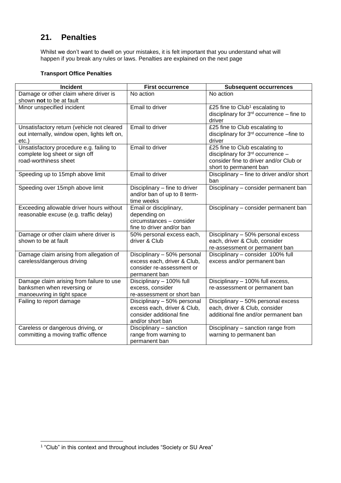### **21. Penalties**

Whilst we don't want to dwell on your mistakes, it is felt important that you understand what will happen if you break any rules or laws. Penalties are explained on the next page

#### **Transport Office Penalties**

| Incident                                                                                               | <b>First occurrence</b>                                                                                    | <b>Subsequent occurrences</b>                                                                                                           |
|--------------------------------------------------------------------------------------------------------|------------------------------------------------------------------------------------------------------------|-----------------------------------------------------------------------------------------------------------------------------------------|
| Damage or other claim where driver is<br>shown not to be at fault                                      | No action                                                                                                  | No action                                                                                                                               |
| Minor unspecified incident                                                                             | Email to driver                                                                                            | £25 fine to Club <sup>1</sup> escalating to<br>disciplinary for $3rd$ occurrence – fine to<br>driver                                    |
| Unsatisfactory return (vehicle not cleared<br>out internally, window open, lights left on,<br>$etc.$ ) | Email to driver                                                                                            | £25 fine to Club escalating to<br>disciplinary for 3rd occurrence -fine to<br>driver                                                    |
| Unsatisfactory procedure e.g. failing to<br>complete log sheet or sign off<br>road-worthiness sheet    | Email to driver                                                                                            | £25 fine to Club escalating to<br>disciplinary for 3rd occurrence -<br>consider fine to driver and/or Club or<br>short to permanent ban |
| Speeding up to 15mph above limit                                                                       | Email to driver                                                                                            | Disciplinary - fine to driver and/or short<br>ban                                                                                       |
| Speeding over 15mph above limit                                                                        | Disciplinary - fine to driver<br>and/or ban of up to 8 term-<br>time weeks                                 | Disciplinary - consider permanent ban                                                                                                   |
| Exceeding allowable driver hours without<br>reasonable excuse (e.g. traffic delay)                     | Email or disciplinary,<br>depending on<br>circumstances - consider<br>fine to driver and/or ban            | Disciplinary - consider permanent ban                                                                                                   |
| Damage or other claim where driver is<br>shown to be at fault                                          | 50% personal excess each,<br>driver & Club                                                                 | Disciplinary - 50% personal excess<br>each, driver & Club, consider<br>re-assessment or permanent ban                                   |
| Damage claim arising from allegation of<br>careless/dangerous driving                                  | Disciplinary - 50% personal<br>excess each, driver & Club,<br>consider re-assessment or<br>permanent ban   | Disciplinary - consider 100% full<br>excess and/or permanent ban                                                                        |
| Damage claim arising from failure to use<br>banksmen when reversing or<br>manoeuvring in tight space   | Disciplinary - 100% full<br>excess, consider<br>re-assessment or short ban                                 | Disciplinary - 100% full excess,<br>re-assessment or permanent ban                                                                      |
| Failing to report damage                                                                               | Disciplinary - 50% personal<br>excess each, driver & Club,<br>consider additional fine<br>and/or short ban | Disciplinary - 50% personal excess<br>each, driver & Club, consider<br>additional fine and/or permanent ban                             |
| Careless or dangerous driving, or<br>committing a moving traffic offence                               | Disciplinary - sanction<br>range from warning to<br>permanent ban                                          | Disciplinary - sanction range from<br>warning to permanent ban                                                                          |

l

<sup>1</sup> "Club" in this context and throughout includes "Society or SU Area"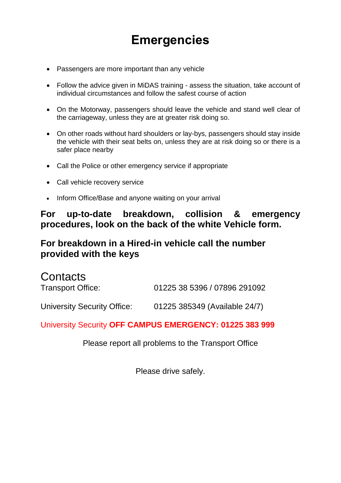# **Emergencies**

- Passengers are more important than any vehicle
- Follow the advice given in MiDAS training assess the situation, take account of individual circumstances and follow the safest course of action
- On the Motorway, passengers should leave the vehicle and stand well clear of the carriageway, unless they are at greater risk doing so.
- On other roads without hard shoulders or lay-bys, passengers should stay inside the vehicle with their seat belts on, unless they are at risk doing so or there is a safer place nearby
- Call the Police or other emergency service if appropriate
- Call vehicle recovery service
- Inform Office/Base and anyone waiting on your arrival

## **For up-to-date breakdown, collision & emergency procedures, look on the back of the white Vehicle form.**

# **For breakdown in a Hired-in vehicle call the number provided with the keys**

| <b>Contacts</b>             |                               |
|-----------------------------|-------------------------------|
| Transport Office:           | 01225 38 5396 / 07896 291092  |
| University Security Office: | 01225 385349 (Available 24/7) |

University Security **OFF CAMPUS EMERGENCY: 01225 383 999**

Please report all problems to the Transport Office

Please drive safely.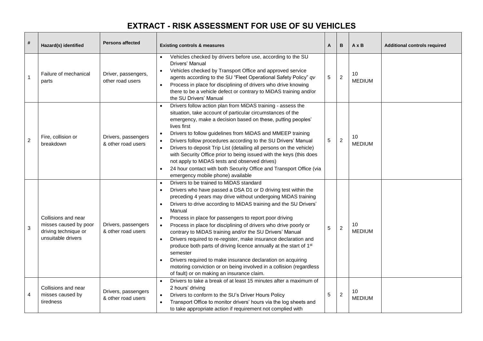# **EXTRACT - RISK ASSESSMENT FOR USE OF SU VEHICLES**

| #              | Hazard(s) identified                                                                       | <b>Persons affected</b>                   | <b>Existing controls &amp; measures</b>                                                                                                                                                                                                                                                                                                                                                                                                                                                                                                                                                                                                                                                                                                                                                                                                       | A | B                | $A \times B$        | <b>Additional controls required</b> |
|----------------|--------------------------------------------------------------------------------------------|-------------------------------------------|-----------------------------------------------------------------------------------------------------------------------------------------------------------------------------------------------------------------------------------------------------------------------------------------------------------------------------------------------------------------------------------------------------------------------------------------------------------------------------------------------------------------------------------------------------------------------------------------------------------------------------------------------------------------------------------------------------------------------------------------------------------------------------------------------------------------------------------------------|---|------------------|---------------------|-------------------------------------|
| -1             | Failure of mechanical<br>parts                                                             | Driver, passengers,<br>other road users   | Vehicles checked by drivers before use, according to the SU<br>Drivers' Manual<br>Vehicles checked by Transport Office and approved service<br>agents according to the SU "Fleet Operational Safety Policy" qv<br>Process in place for disciplining of drivers who drive knowing<br>there to be a vehicle defect or contrary to MiDAS training and/or<br>the SU Drivers' Manual                                                                                                                                                                                                                                                                                                                                                                                                                                                               | 5 | $\sqrt{2}$       | 10<br><b>MEDIUM</b> |                                     |
| $\overline{2}$ | Fire, collision or<br>breakdown                                                            | Drivers, passengers<br>& other road users | Drivers follow action plan from MiDAS training - assess the<br>situation, take account of particular circumstances of the<br>emergency, make a decision based on these, putting peoples'<br>lives first<br>Drivers to follow guidelines from MiDAS and MMEEP training<br>$\bullet$<br>Drivers follow procedures according to the SU Drivers' Manual<br>$\bullet$<br>Drivers to deposit Trip List (detailing all persons on the vehicle)<br>$\bullet$<br>with Security Office prior to being issued with the keys (this does<br>not apply to MiDAS tests and observed drives)<br>24 hour contact with both Security Office and Transport Office (via<br>emergency mobile phone) available                                                                                                                                                      | 5 | $\boldsymbol{2}$ | 10<br><b>MEDIUM</b> |                                     |
| 3              | Collisions and near<br>misses caused by poor<br>driving technique or<br>unsuitable drivers | Drivers, passengers<br>& other road users | Drivers to be trained to MiDAS standard<br>$\bullet$<br>Drivers who have passed a DSA D1 or D driving test within the<br>preceding 4 years may drive without undergoing MiDAS training<br>Drivers to drive according to MiDAS training and the SU Drivers'<br>$\bullet$<br>Manual<br>Process in place for passengers to report poor driving<br>$\bullet$<br>Process in place for disciplining of drivers who drive poorly or<br>contrary to MiDAS training and/or the SU Drivers' Manual<br>Drivers required to re-register, make insurance declaration and<br>produce both parts of driving licence annually at the start of 1 <sup>st</sup><br>semester<br>Drivers required to make insurance declaration on acquiring<br>motoring conviction or on being involved in a collision (regardless<br>of fault) or on making an insurance claim. | 5 | $\overline{c}$   | 10<br><b>MEDIUM</b> |                                     |
| 4              | Collisions and near<br>misses caused by<br>tiredness                                       | Drivers, passengers<br>& other road users | Drivers to take a break of at least 15 minutes after a maximum of<br>$\bullet$<br>2 hours' driving<br>Drivers to conform to the SU's Driver Hours Policy<br>$\bullet$<br>Transport Office to monitor drivers' hours via the log sheets and<br>to take appropriate action if requirement not complied with                                                                                                                                                                                                                                                                                                                                                                                                                                                                                                                                     | 5 | $\overline{c}$   | 10<br><b>MEDIUM</b> |                                     |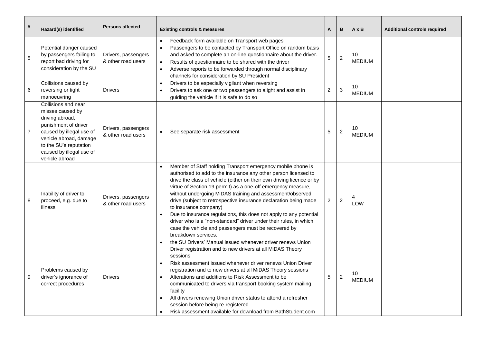| #              | Hazard(s) identified                                                                                                                                                                                             | <b>Persons affected</b>                   | <b>Existing controls &amp; measures</b>                                                                                                                                                                                                                                                                                                                                                                                                                                                                                                                                                                                                                     | А                       | В                | $A \times B$        | <b>Additional controls required</b> |
|----------------|------------------------------------------------------------------------------------------------------------------------------------------------------------------------------------------------------------------|-------------------------------------------|-------------------------------------------------------------------------------------------------------------------------------------------------------------------------------------------------------------------------------------------------------------------------------------------------------------------------------------------------------------------------------------------------------------------------------------------------------------------------------------------------------------------------------------------------------------------------------------------------------------------------------------------------------------|-------------------------|------------------|---------------------|-------------------------------------|
| 5              | Potential danger caused<br>by passengers failing to<br>report bad driving for<br>consideration by the SU                                                                                                         | Drivers, passengers<br>& other road users | Feedback form available on Transport web pages<br>Passengers to be contacted by Transport Office on random basis<br>$\bullet$<br>and asked to complete an on-line questionnaire about the driver.<br>Results of questionnaire to be shared with the driver<br>$\bullet$<br>Adverse reports to be forwarded through normal disciplinary<br>channels for consideration by SU President                                                                                                                                                                                                                                                                        | 5                       | $\boldsymbol{2}$ | 10<br><b>MEDIUM</b> |                                     |
| 6              | Collisions caused by<br>reversing or tight<br>manoeuvring                                                                                                                                                        | <b>Drivers</b>                            | Drivers to be especially vigilant when reversing<br>$\bullet$<br>Drivers to ask one or two passengers to alight and assist in<br>$\bullet$<br>guiding the vehicle if it is safe to do so                                                                                                                                                                                                                                                                                                                                                                                                                                                                    | $\overline{\mathbf{c}}$ | 3                | 10<br><b>MEDIUM</b> |                                     |
| $\overline{7}$ | Collisions and near<br>misses caused by<br>driving abroad,<br>punishment of driver<br>caused by illegal use of<br>vehicle abroad, damage<br>to the SU's reputation<br>caused by illegal use of<br>vehicle abroad | Drivers, passengers<br>& other road users | See separate risk assessment                                                                                                                                                                                                                                                                                                                                                                                                                                                                                                                                                                                                                                | 5                       | $\overline{c}$   | 10<br><b>MEDIUM</b> |                                     |
| 8              | Inability of driver to<br>proceed, e.g. due to<br>illness                                                                                                                                                        | Drivers, passengers<br>& other road users | Member of Staff holding Transport emergency mobile phone is<br>authorised to add to the insurance any other person licensed to<br>drive the class of vehicle (either on their own driving licence or by<br>virtue of Section 19 permit) as a one-off emergency measure,<br>without undergoing MiDAS training and assessment/observed<br>drive (subject to retrospective insurance declaration being made<br>to insurance company)<br>Due to insurance regulations, this does not apply to any potential<br>driver who is a "non-standard" driver under their rules, in which<br>case the vehicle and passengers must be recovered by<br>breakdown services. | 2                       | $\boldsymbol{2}$ | LOW                 |                                     |
| 9              | Problems caused by<br>driver's ignorance of<br>correct procedures                                                                                                                                                | <b>Drivers</b>                            | the SU Drivers' Manual issued whenever driver renews Union<br>Driver registration and to new drivers at all MiDAS Theory<br>sessions<br>Risk assessment issued whenever driver renews Union Driver<br>registration and to new drivers at all MiDAS Theory sessions<br>Alterations and additions to Risk Assessment to be<br>$\bullet$<br>communicated to drivers via transport booking system mailing<br>facility<br>All drivers renewing Union driver status to attend a refresher<br>session before being re-registered<br>Risk assessment available for download from BathStudent.com<br>$\bullet$                                                       | 5                       | $\overline{c}$   | 10<br><b>MEDIUM</b> |                                     |